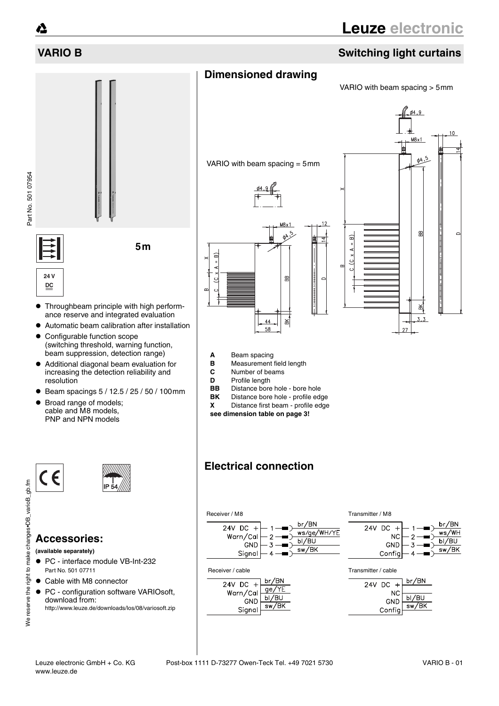# **VARIO B Switching light curtains**

# **Dimensioned drawing**

VARIO with beam spacing > 5mm



- **A** Beam spacing<br>**B** Measurement
- **B** Measurement field length<br>**C** Number of beams
- **C** Number of beams
- 
- **D** Profile length<br>**BB** Distance bore **BB** Distance bore hole - bore hole<br>**BK** Distance bore hole - profile add
- **Distance bore hole profile edge**
- **X** Distance first beam profile edge
- **see dimension table on page 3!**

# **Electrical connection**











Part No. 501 07954 Part No. 501 07954

- Throughbeam principle with high performance reserve and integrated evaluation
- Automatic beam calibration after installation
- Configurable function scope (switching threshold, warning function, beam suppression, detection range)
- Additional diagonal beam evaluation for increasing the detection reliability and resolution
- $\bullet$  Beam spacings 5 / 12.5 / 25 / 50 / 100mm
- Broad range of models; cable and M8 models, PNP and NPN models





### **Accessories:**

**(available separately)**

We reserve the right to make changes•DB\_varioB\_gb.fm

We reserve the right to make changes. DB\_varioB\_gb.fm

- PC interface module VB-Int-232 Part No. 501 07711
- Cable with M8 connector
- PC configuration software VARIOsoft, download from:

http://www.leuze.de/downloads/los/08/variosoft.zip

**24 V DC**

**5m**

 $\widehat{a}$ 

 $\epsilon$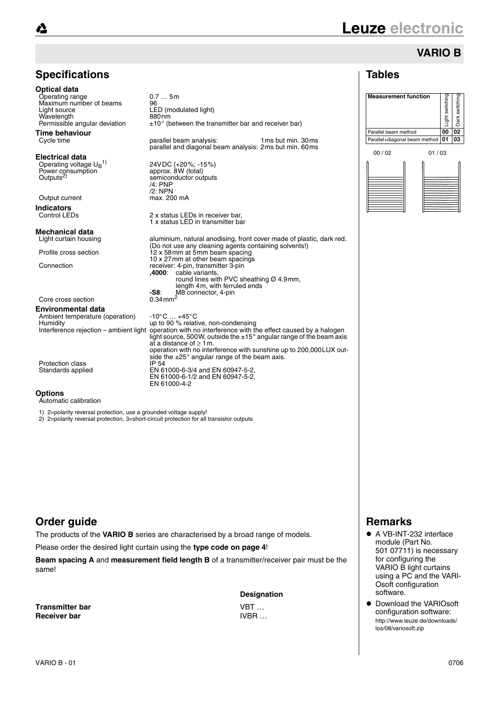# **VARIO B**

### **Tables**





### **Specifications**

ံ∆

| <b>Optical data</b><br>Operating range<br>Maximum number of beams<br>Light source<br>Wavelength<br>Permissible angular deviation | $0.7$ 5m<br>96<br>LED (modulated light)<br>880 <sub>nm</sub><br>$\pm 10^{\circ}$ (between the transmitter bar and receiver bar)                                                                                                                                                                        |
|----------------------------------------------------------------------------------------------------------------------------------|--------------------------------------------------------------------------------------------------------------------------------------------------------------------------------------------------------------------------------------------------------------------------------------------------------|
| <b>Time behaviour</b><br>Cycle time                                                                                              | parallel beam analysis:<br>1 ms but min. 30 ms<br>parallel and diagonal beam analysis: 2ms but min. 60ms                                                                                                                                                                                               |
| Electrical data<br>Operating voltage $U_R$ <sup>1)</sup><br>Power consumption<br>Outputs <sup>2)</sup><br>Output current         | 24VDC (+20%; -15%)<br>approx. 8W (total)<br>semiconductor outputs<br>$/4$ : PNP<br>$/2$ : NPN<br>max. 200 mA                                                                                                                                                                                           |
| <b>Indicators</b>                                                                                                                |                                                                                                                                                                                                                                                                                                        |
| Control LEDs                                                                                                                     | 2 x status LEDs in receiver bar,<br>1 x status LED in transmitter bar                                                                                                                                                                                                                                  |
| Mechanical data                                                                                                                  |                                                                                                                                                                                                                                                                                                        |
| Light curtain housing                                                                                                            | aluminium, natural anodising, front cover made of plastic, dark red.<br>(Do not use any cleaning agents containing solvents!)                                                                                                                                                                          |
| Profile cross section                                                                                                            | 12 x 58 mm at 5 mm beam spacing                                                                                                                                                                                                                                                                        |
| Connection                                                                                                                       | 10 x 27 mm at other beam spacings<br>receiver: 4-pin, transmitter 3-pin<br>,4000: cable variants,<br>round lines with PVC sheathing $\varnothing$ 4.9mm,<br>length 4m, with ferruled ends                                                                                                              |
|                                                                                                                                  | M8 connector, 4-pin<br>-S8:                                                                                                                                                                                                                                                                            |
| Core cross section                                                                                                               | $0.34$ mm <sup>2</sup>                                                                                                                                                                                                                                                                                 |
| <b>Environmental data</b><br>Ambient temperature (operation)<br>Humidity                                                         | $-10^{\circ}$ C $+45^{\circ}$ C<br>up to 90 % relative, non-condensing<br>Interference rejection – ambient light operation with no interference with the effect caused by a halogen<br>light source, 500W, outside the $\pm 15^{\circ}$ angular range of the beam axis<br>at a distance of $\geq 1$ m. |
| Protection class<br>Standards applied                                                                                            | operation with no interference with sunshine up to 200,000 LUX out-<br>side the $\pm 25^\circ$ angular range of the beam axis.<br>IP 54<br>EN 61000-6-3/4 and EN 60947-5-2,<br>EN 61000-6-1/2 and EN 60947-5-2,<br>EN 61000-4-2                                                                        |

#### **Options**

Automatic calibration

1) 2=polarity reversal protection, use a grounded voltage supply!

2) 2=polarity reversal protection, 3=short-circuit protection for all transistor outputs

### **Order guide**

The products of the **VARIO B** series are characterised by a broad range of models.

Please order the desired light curtain using the **type code on page 4**!

**Beam spacing A** and **measurement field length B** of a transmitter/receiver pair must be the same!

**Transmitter bar** VBT … **Receiver bar** IVBR …

**Designation**

# **Remarks**

- A VB-INT-232 interface module (Part No. 501 07711) is necessary for configuring the VARIO B light curtains using a PC and the VARI-Osoft configuration software.
- Download the VARIOsoft configuration software: http://www.leuze.de/downloads/ los/08/variosoft.zip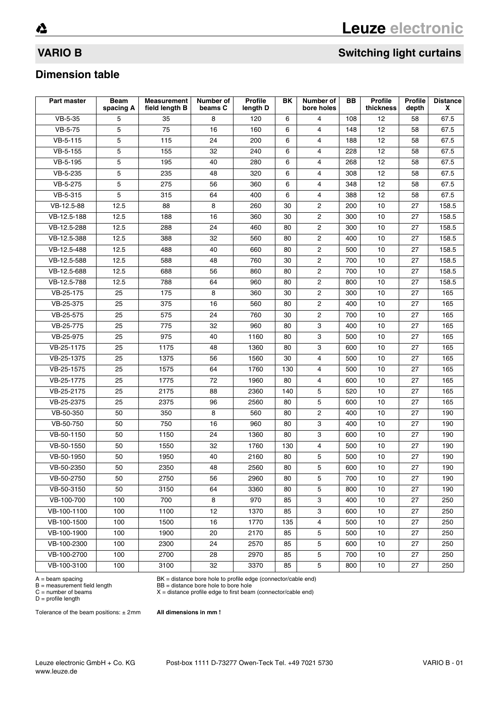# **VARIO B** Switching light curtains

### **Dimension table**

| Part master            | <b>Beam</b><br>spacing A | <b>Measurement</b><br>field length B | Number of<br>beams C | <b>Profile</b><br>length D | BK  | Number of<br>bore holes | BB. | <b>Profile</b><br>thickness | <b>Profile</b><br>depth | <b>Distance</b><br>X |
|------------------------|--------------------------|--------------------------------------|----------------------|----------------------------|-----|-------------------------|-----|-----------------------------|-------------------------|----------------------|
| VB-5-35                | 5                        | 35                                   | 8                    | 120                        | 6   | $\overline{4}$          | 108 | 12                          | 58                      | 67.5                 |
| VB-5-75                | 5                        | 75                                   | 16                   | 160                        | 6   | $\overline{4}$          | 148 | 12                          | 58                      | 67.5                 |
| VB-5-115               | 5                        | 115                                  | 24                   | 200                        | 6   | 4                       | 188 | 12                          | 58                      | 67.5                 |
| VB-5-155               | 5                        | 155                                  | 32                   | 240                        | 6   | 4                       | 228 | 12                          | 58                      | 67.5                 |
| VB-5-195               | 5                        | 195                                  | 40                   | 280                        | 6   | $\overline{4}$          | 268 | 12                          | 58                      | 67.5                 |
| VB-5-235               | 5                        | 235                                  | 48                   | 320                        | 6   | 4                       | 308 | 12                          | 58                      | 67.5                 |
| $\overline{VB}$ -5-275 | 5                        | 275                                  | 56                   | 360                        | 6   | $\overline{4}$          | 348 | 12                          | 58                      | 67.5                 |
| VB-5-315               | 5                        | 315                                  | 64                   | 400                        | 6   | $\overline{4}$          | 388 | 12                          | 58                      | 67.5                 |
| VB-12.5-88             | 12.5                     | 88                                   | 8                    | 260                        | 30  | $\mathbf 2$             | 200 | 10                          | 27                      | 158.5                |
| VB-12.5-188            | 12.5                     | 188                                  | 16                   | 360                        | 30  | $\overline{c}$          | 300 | 10                          | 27                      | 158.5                |
| VB-12.5-288            | 12.5                     | 288                                  | 24                   | 460                        | 80  | $\mathbf{2}$            | 300 | 10                          | 27                      | 158.5                |
| VB-12.5-388            | 12.5                     | 388                                  | 32                   | 560                        | 80  | $\mathbf{2}$            | 400 | 10                          | 27                      | 158.5                |
| VB-12.5-488            | 12.5                     | 488                                  | 40                   | 660                        | 80  | $\mathbf{2}$            | 500 | 10                          | 27                      | 158.5                |
| VB-12.5-588            | 12.5                     | 588                                  | 48                   | 760                        | 30  | $\mathbf{2}$            | 700 | 10                          | 27                      | 158.5                |
| VB-12.5-688            | 12.5                     | 688                                  | 56                   | 860                        | 80  | $\mathbf 2$             | 700 | 10                          | 27                      | 158.5                |
| VB-12.5-788            | 12.5                     | 788                                  | 64                   | 960                        | 80  | $\overline{2}$          | 800 | 10                          | 27                      | 158.5                |
| VB-25-175              | 25                       | 175                                  | 8                    | 360                        | 30  | $\mathbf{2}$            | 300 | 10                          | 27                      | 165                  |
| VB-25-375              | 25                       | 375                                  | 16                   | 560                        | 80  | $\mathbf{2}$            | 400 | 10                          | 27                      | 165                  |
| VB-25-575              | 25                       | 575                                  | 24                   | 760                        | 30  | $\mathbf{2}$            | 700 | 10                          | 27                      | 165                  |
| VB-25-775              | 25                       | 775                                  | 32                   | 960                        | 80  | 3                       | 400 | 10                          | 27                      | 165                  |
| VB-25-975              | 25                       | 975                                  | 40                   | 1160                       | 80  | 3                       | 500 | 10                          | 27                      | 165                  |
| VB-25-1175             | 25                       | 1175                                 | 48                   | 1360                       | 80  | 3                       | 600 | 10                          | 27                      | 165                  |
| VB-25-1375             | 25                       | 1375                                 | 56                   | 1560                       | 30  | $\overline{4}$          | 500 | 10                          | 27                      | 165                  |
| VB-25-1575             | 25                       | 1575                                 | 64                   | 1760                       | 130 | 4                       | 500 | 10                          | 27                      | 165                  |
| VB-25-1775             | 25                       | 1775                                 | 72                   | 1960                       | 80  | $\overline{4}$          | 600 | 10                          | 27                      | 165                  |
| VB-25-2175             | 25                       | 2175                                 | 88                   | 2360                       | 140 | 5                       | 520 | 10                          | 27                      | 165                  |
| VB-25-2375             | 25                       | 2375                                 | 96                   | 2560                       | 80  | 5                       | 600 | 10                          | 27                      | 165                  |
| VB-50-350              | 50                       | 350                                  | 8                    | 560                        | 80  | $\overline{2}$          | 400 | 10                          | 27                      | 190                  |
| VB-50-750              | 50                       | 750                                  | 16                   | 960                        | 80  | 3                       | 400 | 10                          | 27                      | 190                  |
| VB-50-1150             | 50                       | 1150                                 | 24                   | 1360                       | 80  | 3                       | 600 | 10                          | 27                      | 190                  |
| VB-50-1550             | 50                       | 1550                                 | 32                   | 1760                       | 130 | $\overline{4}$          | 500 | 10                          | 27                      | 190                  |
| VB-50-1950             | 50                       | 1950                                 | 40                   | 2160                       | 80  | 5                       | 500 | 10                          | 27                      | 190                  |
| VB-50-2350             | 50                       | 2350                                 | 48                   | 2560                       | 80  | 5                       | 600 | 10                          | 27                      | 190                  |
| VB-50-2750             | 50                       | 2750                                 | 56                   | 2960                       | 80  | 5                       | 700 | 10                          | 27                      | 190                  |
| VB-50-3150             | 50                       | 3150                                 | 64                   | 3360                       | 80  | 5                       | 800 | 10                          | 27                      | 190                  |
| VB-100-700             | 100                      | 700                                  | 8                    | 970                        | 85  | 3                       | 400 | 10                          | 27                      | 250                  |
| VB-100-1100            | 100                      | 1100                                 | 12                   | 1370                       | 85  | 3                       | 600 | 10                          | 27                      | 250                  |
| VB-100-1500            | 100                      | 1500                                 | 16                   | 1770                       | 135 | $\overline{4}$          | 500 | 10                          | 27                      | 250                  |
| VB-100-1900            | 100                      | 1900                                 | 20                   | 2170                       | 85  | 5                       | 500 | 10                          | 27                      | 250                  |
| VB-100-2300            | 100                      | 2300                                 | 24                   | 2570                       | 85  | 5                       | 600 | 10                          | 27                      | 250                  |
| VB-100-2700            | 100                      | 2700                                 | 28                   | 2970                       | 85  | 5                       | 700 | 10                          | 27                      | 250                  |
| VB-100-3100            | 100                      | 3100                                 | 32                   | 3370                       | 85  | 5                       | 800 | 10                          | 27                      | 250                  |

A = beam spacing BK = distance bore hole to profile edge (connector/cable end)<br>B = distance bore hole to bore hole

D = profile length

 $B =$  measurement field length  $B =$  distance bore hole to bore hole  $C =$  number of beams  $X =$  distance profile edge to first beams

Tolerance of the beam positions: ± 2mm **All dimensions in mm !**

 $X =$  distance profile edge to first beam (connector/cable end)